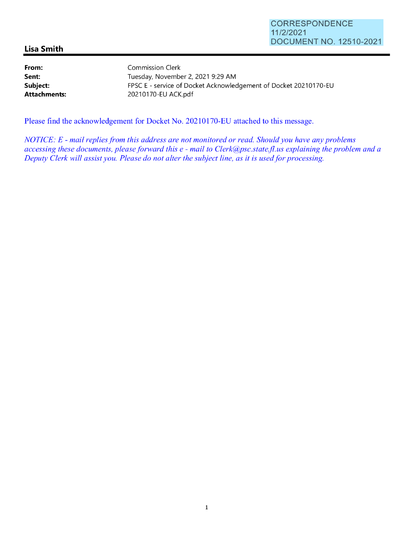## **Lisa Smith**

**Sent:** 

**From: Subject: Attachments:**  Commission Clerk Tuesday, November 2, 2021 9:29 **AM**  FPSC E - service of Docket Acknowledgement of Docket 20210170-EU 20210170-EU ACK.pdf

Please find the acknowledgement for Docket No. 20210170-EU attached to this message.

*NOTICE: E* - *mail replies from this address are not monitored or read. Should you have any problems accessing these documents, please forward this e* - *mail to Clerk@psc.state.jl.us explaining the problem and a Deputy Clerk will assist you. Please do not alter the subject line, as it is used for processing.*